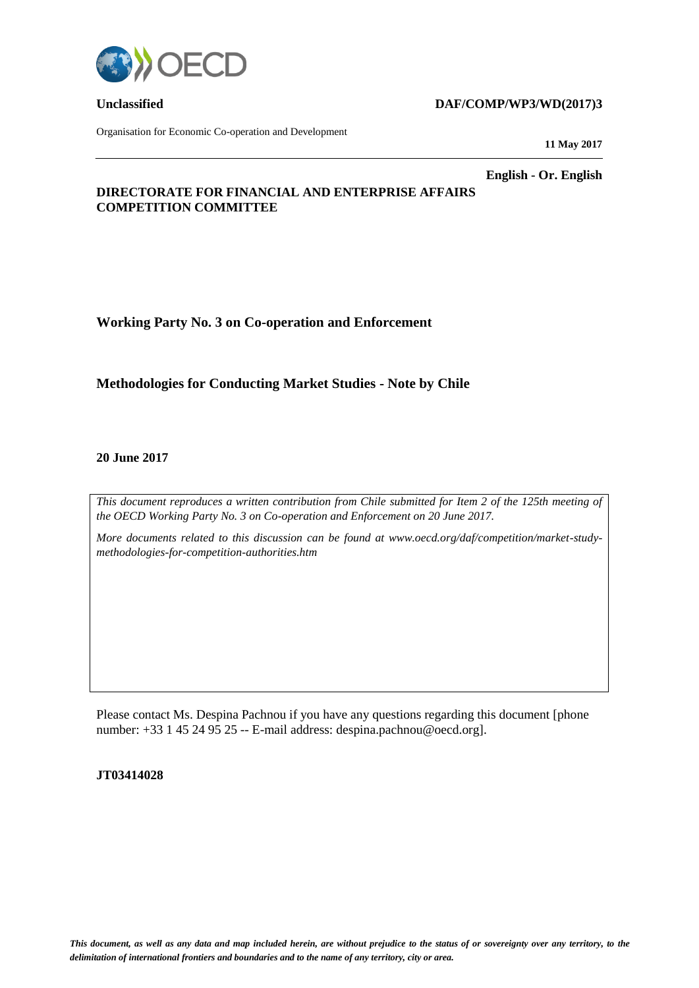

Organisation for Economic Co-operation and Development

### **Unclassified DAF/COMP/WP3/WD(2017)3**

**11 May 2017**

**English - Or. English**

## **DIRECTORATE FOR FINANCIAL AND ENTERPRISE AFFAIRS COMPETITION COMMITTEE**

**Working Party No. 3 on Co-operation and Enforcement**

## **Methodologies for Conducting Market Studies - Note by Chile**

#### **20 June 2017**

*This document reproduces a written contribution from Chile submitted for Item 2 of the 125th meeting of the OECD Working Party No. 3 on Co-operation and Enforcement on 20 June 2017.* 

*More documents related to this discussion can be found at www.oecd.org/daf/competition/market-studymethodologies-for-competition-authorities.htm*

Please contact Ms. Despina Pachnou if you have any questions regarding this document [phone number: +33 1 45 24 95 25 -- E-mail address: despina.pachnou@oecd.org].

#### **JT03414028**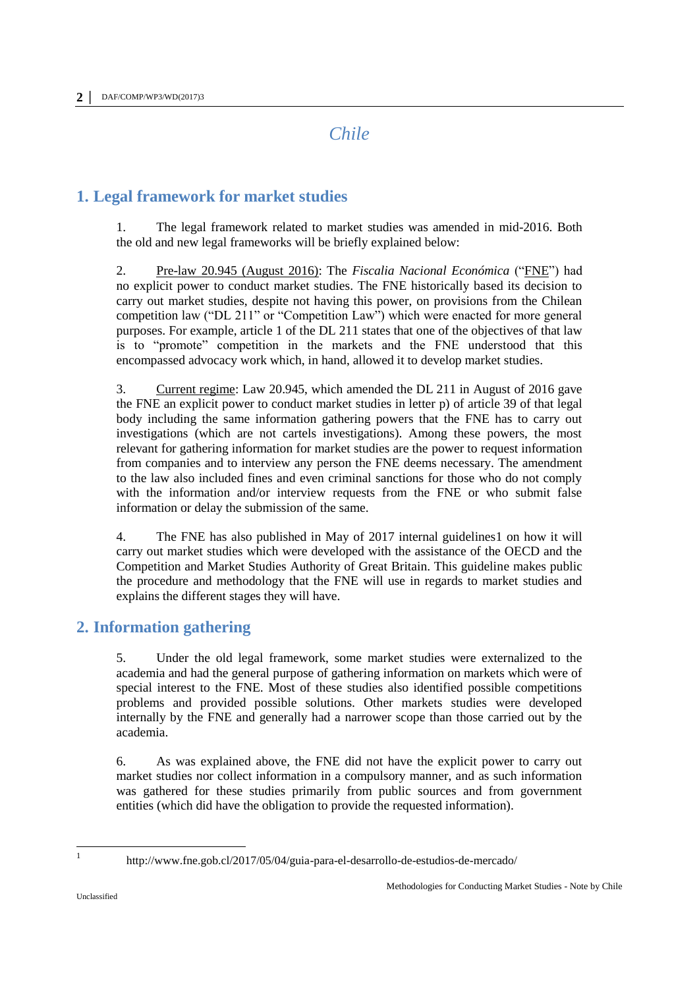*Chile*

# **1. Legal framework for market studies**

1. The legal framework related to market studies was amended in mid-2016. Both the old and new legal frameworks will be briefly explained below:

2. Pre-law 20.945 (August 2016): The *Fiscalia Nacional Económica* ("FNE") had no explicit power to conduct market studies. The FNE historically based its decision to carry out market studies, despite not having this power, on provisions from the Chilean competition law ("DL 211" or "Competition Law") which were enacted for more general purposes. For example, article 1 of the DL 211 states that one of the objectives of that law is to "promote" competition in the markets and the FNE understood that this encompassed advocacy work which, in hand, allowed it to develop market studies.

3. Current regime: Law 20.945, which amended the DL 211 in August of 2016 gave the FNE an explicit power to conduct market studies in letter p) of article 39 of that legal body including the same information gathering powers that the FNE has to carry out investigations (which are not cartels investigations). Among these powers, the most relevant for gathering information for market studies are the power to request information from companies and to interview any person the FNE deems necessary. The amendment to the law also included fines and even criminal sanctions for those who do not comply with the information and/or interview requests from the FNE or who submit false information or delay the submission of the same.

4. The FNE has also published in May of 2017 internal guidelines1 on how it will carry out market studies which were developed with the assistance of the OECD and the Competition and Market Studies Authority of Great Britain. This guideline makes public the procedure and methodology that the FNE will use in regards to market studies and explains the different stages they will have.

# **2. Information gathering**

5. Under the old legal framework, some market studies were externalized to the academia and had the general purpose of gathering information on markets which were of special interest to the FNE. Most of these studies also identified possible competitions problems and provided possible solutions. Other markets studies were developed internally by the FNE and generally had a narrower scope than those carried out by the academia.

6. As was explained above, the FNE did not have the explicit power to carry out market studies nor collect information in a compulsory manner, and as such information was gathered for these studies primarily from public sources and from government entities (which did have the obligation to provide the requested information).

Unclassified

<http://www.fne.gob.cl/2017/05/04/guia-para-el-desarrollo-de-estudios-de-mercado/>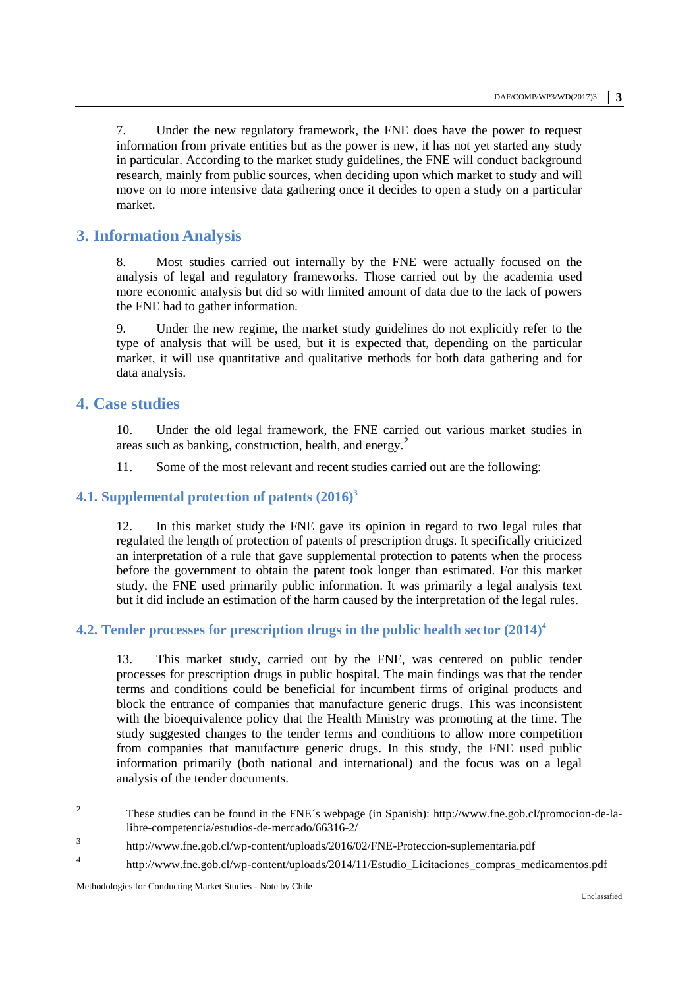7. Under the new regulatory framework, the FNE does have the power to request information from private entities but as the power is new, it has not yet started any study in particular. According to the market study guidelines, the FNE will conduct background research, mainly from public sources, when deciding upon which market to study and will move on to more intensive data gathering once it decides to open a study on a particular market.

# **3. Information Analysis**

8. Most studies carried out internally by the FNE were actually focused on the analysis of legal and regulatory frameworks. Those carried out by the academia used more economic analysis but did so with limited amount of data due to the lack of powers the FNE had to gather information.

9. Under the new regime, the market study guidelines do not explicitly refer to the type of analysis that will be used, but it is expected that, depending on the particular market, it will use quantitative and qualitative methods for both data gathering and for data analysis.

## **4. Case studies**

10. Under the old legal framework, the FNE carried out various market studies in areas such as banking, construction, health, and energy.<sup>2</sup>

11. Some of the most relevant and recent studies carried out are the following:

**4.1. Supplemental protection of patents (2016)<sup>3</sup>**

12. In this market study the FNE gave its opinion in regard to two legal rules that regulated the length of protection of patents of prescription drugs. It specifically criticized an interpretation of a rule that gave supplemental protection to patents when the process before the government to obtain the patent took longer than estimated. For this market study, the FNE used primarily public information. It was primarily a legal analysis text but it did include an estimation of the harm caused by the interpretation of the legal rules.

## **4.2. Tender processes for prescription drugs in the public health sector (2014)<sup>4</sup>**

13. This market study, carried out by the FNE, was centered on public tender processes for prescription drugs in public hospital. The main findings was that the tender terms and conditions could be beneficial for incumbent firms of original products and block the entrance of companies that manufacture generic drugs. This was inconsistent with the bioequivalence policy that the Health Ministry was promoting at the time. The study suggested changes to the tender terms and conditions to allow more competition from companies that manufacture generic drugs. In this study, the FNE used public information primarily (both national and international) and the focus was on a legal analysis of the tender documents.

<sup>&</sup>lt;sup>2</sup> These studies can be found in the FNE´s webpage (in Spanish): [http://www.fne.gob.cl/promocion-de-la](http://www.fne.gob.cl/promocion-de-la-libre-competencia/estudios-de-mercado/66316-2/)[libre-competencia/estudios-de-mercado/66316-2/](http://www.fne.gob.cl/promocion-de-la-libre-competencia/estudios-de-mercado/66316-2/)

<sup>3</sup> <http://www.fne.gob.cl/wp-content/uploads/2016/02/FNE-Proteccion-suplementaria.pdf>

<sup>4</sup> [http://www.fne.gob.cl/wp-content/uploads/2014/11/Estudio\\_Licitaciones\\_compras\\_medicamentos.pdf](http://www.fne.gob.cl/wp-content/uploads/2014/11/Estudio_Licitaciones_compras_medicamentos.pdf)